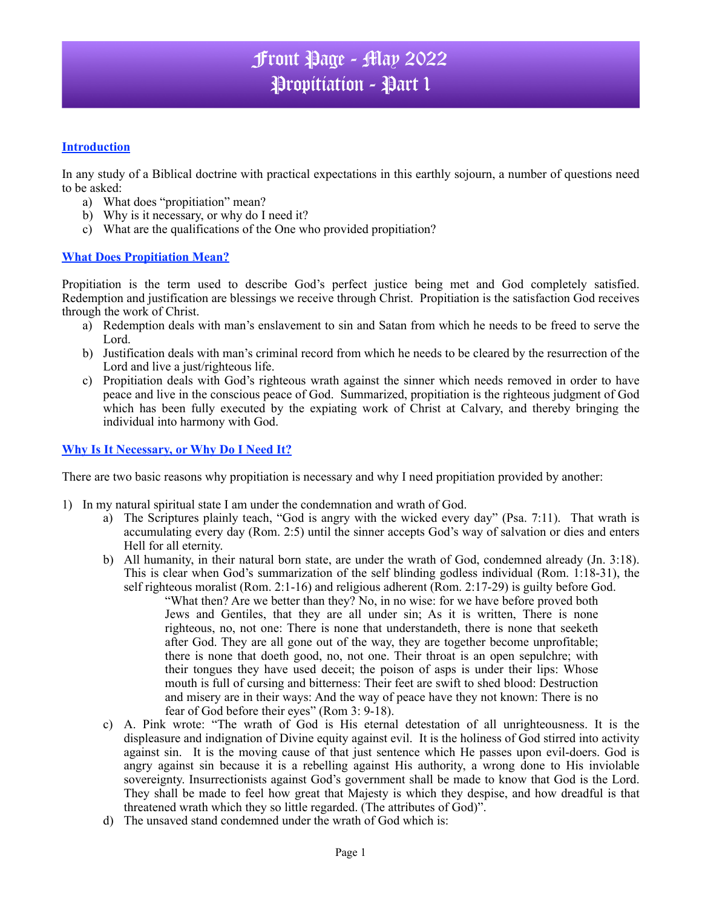# Front Page - May 2022 Propitiation - Part 1

### **Introduction**

In any study of a Biblical doctrine with practical expectations in this earthly sojourn, a number of questions need to be asked:

- a) What does "propitiation" mean?
- b) Why is it necessary, or why do I need it?
- c) What are the qualifications of the One who provided propitiation?

### **What Does Propitiation Mean?**

Propitiation is the term used to describe God's perfect justice being met and God completely satisfied. Redemption and justification are blessings we receive through Christ. Propitiation is the satisfaction God receives through the work of Christ.

- a) Redemption deals with man's enslavement to sin and Satan from which he needs to be freed to serve the Lord.
- b) Justification deals with man's criminal record from which he needs to be cleared by the resurrection of the Lord and live a just/righteous life.
- c) Propitiation deals with God's righteous wrath against the sinner which needs removed in order to have peace and live in the conscious peace of God. Summarized, propitiation is the righteous judgment of God which has been fully executed by the expiating work of Christ at Calvary, and thereby bringing the individual into harmony with God.

### **Why Is It Necessary, or Why Do I Need It?**

There are two basic reasons why propitiation is necessary and why I need propitiation provided by another:

- 1) In my natural spiritual state I am under the condemnation and wrath of God.
	- a) The Scriptures plainly teach, "God is angry with the wicked every day" (Psa. 7:11). That wrath is accumulating every day (Rom. 2:5) until the sinner accepts God's way of salvation or dies and enters Hell for all eternity.
	- b) All humanity, in their natural born state, are under the wrath of God, condemned already (Jn. 3:18). This is clear when God's summarization of the self blinding godless individual (Rom. 1:18-31), the self righteous moralist (Rom. 2:1-16) and religious adherent (Rom. 2:17-29) is guilty before God.
		- "What then? Are we better than they? No, in no wise: for we have before proved both Jews and Gentiles, that they are all under sin; As it is written, There is none righteous, no, not one: There is none that understandeth, there is none that seeketh after God. They are all gone out of the way, they are together become unprofitable; there is none that doeth good, no, not one. Their throat is an open sepulchre; with their tongues they have used deceit; the poison of asps is under their lips: Whose mouth is full of cursing and bitterness: Their feet are swift to shed blood: Destruction and misery are in their ways: And the way of peace have they not known: There is no fear of God before their eyes" (Rom 3: 9-18).
	- c) A. Pink wrote: "The wrath of God is His eternal detestation of all unrighteousness. It is the displeasure and indignation of Divine equity against evil. It is the holiness of God stirred into activity against sin. It is the moving cause of that just sentence which He passes upon evil-doers. God is angry against sin because it is a rebelling against His authority, a wrong done to His inviolable sovereignty. Insurrectionists against God's government shall be made to know that God is the Lord. They shall be made to feel how great that Majesty is which they despise, and how dreadful is that threatened wrath which they so little regarded. (The attributes of God)".
	- d) The unsaved stand condemned under the wrath of God which is: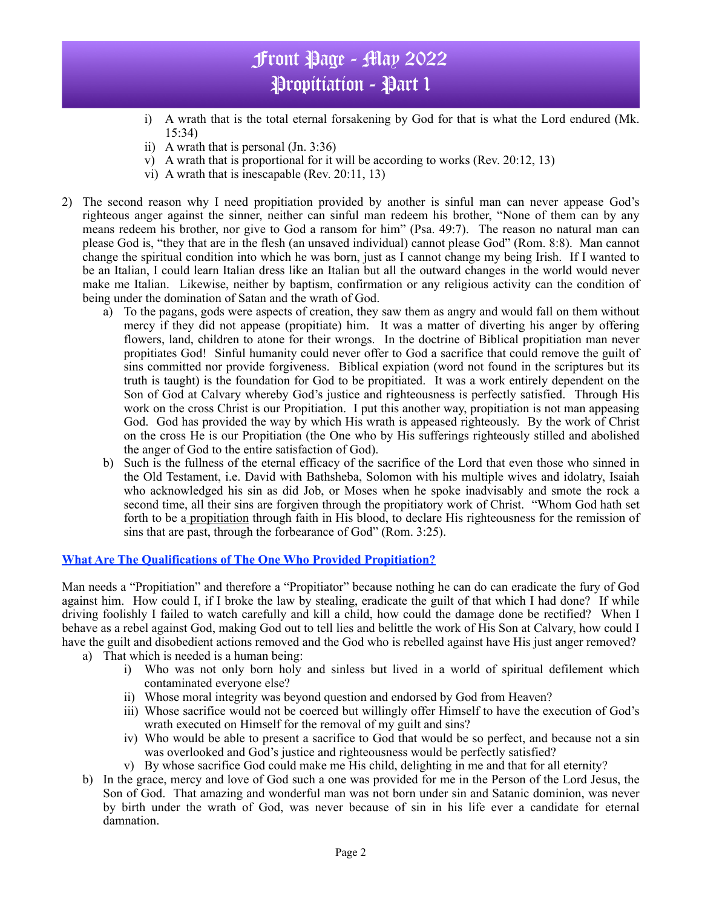# Front Page - May 2022 Propitiation - Part 1

- i) A wrath that is the total eternal forsakening by God for that is what the Lord endured (Mk. 15:34)
- ii) A wrath that is personal (Jn. 3:36)
- v) A wrath that is proportional for it will be according to works (Rev.  $20:12, 13$ )
- vi) A wrath that is inescapable (Rev. 20:11, 13)
- 2) The second reason why I need propitiation provided by another is sinful man can never appease God's righteous anger against the sinner, neither can sinful man redeem his brother, "None of them can by any means redeem his brother, nor give to God a ransom for him" (Psa. 49:7). The reason no natural man can please God is, "they that are in the flesh (an unsaved individual) cannot please God" (Rom. 8:8). Man cannot change the spiritual condition into which he was born, just as I cannot change my being Irish. If I wanted to be an Italian, I could learn Italian dress like an Italian but all the outward changes in the world would never make me Italian. Likewise, neither by baptism, confirmation or any religious activity can the condition of being under the domination of Satan and the wrath of God.
	- a) To the pagans, gods were aspects of creation, they saw them as angry and would fall on them without mercy if they did not appease (propitiate) him. It was a matter of diverting his anger by offering flowers, land, children to atone for their wrongs. In the doctrine of Biblical propitiation man never propitiates God! Sinful humanity could never offer to God a sacrifice that could remove the guilt of sins committed nor provide forgiveness. Biblical expiation (word not found in the scriptures but its truth is taught) is the foundation for God to be propitiated. It was a work entirely dependent on the Son of God at Calvary whereby God's justice and righteousness is perfectly satisfied. Through His work on the cross Christ is our Propitiation. I put this another way, propitiation is not man appeasing God. God has provided the way by which His wrath is appeased righteously. By the work of Christ on the cross He is our Propitiation (the One who by His sufferings righteously stilled and abolished the anger of God to the entire satisfaction of God).
	- b) Such is the fullness of the eternal efficacy of the sacrifice of the Lord that even those who sinned in the Old Testament, i.e. David with Bathsheba, Solomon with his multiple wives and idolatry, Isaiah who acknowledged his sin as did Job, or Moses when he spoke inadvisably and smote the rock a second time, all their sins are forgiven through the propitiatory work of Christ. "Whom God hath set forth to be a propitiation through faith in His blood, to declare His righteousness for the remission of sins that are past, through the forbearance of God" (Rom. 3:25).

### **What Are The Qualifications of The One Who Provided Propitiation?**

Man needs a "Propitiation" and therefore a "Propitiator" because nothing he can do can eradicate the fury of God against him. How could I, if I broke the law by stealing, eradicate the guilt of that which I had done? If while driving foolishly I failed to watch carefully and kill a child, how could the damage done be rectified? When I behave as a rebel against God, making God out to tell lies and belittle the work of His Son at Calvary, how could I have the guilt and disobedient actions removed and the God who is rebelled against have His just anger removed?

- a) That which is needed is a human being:
	- i) Who was not only born holy and sinless but lived in a world of spiritual defilement which contaminated everyone else?
	- ii) Whose moral integrity was beyond question and endorsed by God from Heaven?
	- iii) Whose sacrifice would not be coerced but willingly offer Himself to have the execution of God's wrath executed on Himself for the removal of my guilt and sins?
	- iv) Who would be able to present a sacrifice to God that would be so perfect, and because not a sin was overlooked and God's justice and righteousness would be perfectly satisfied?
	- v) By whose sacrifice God could make me His child, delighting in me and that for all eternity?
- b) In the grace, mercy and love of God such a one was provided for me in the Person of the Lord Jesus, the Son of God. That amazing and wonderful man was not born under sin and Satanic dominion, was never by birth under the wrath of God, was never because of sin in his life ever a candidate for eternal damnation.